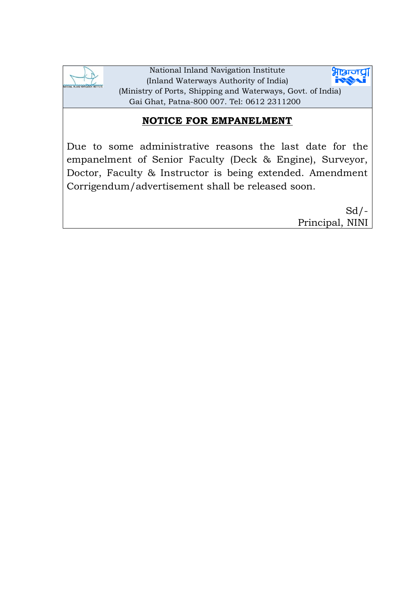

National Inland Navigation Institute **भाञ्चाज** (Inland Waterways Authority of India) (Ministry of Ports, Shipping and Waterways, Govt. of India) Gai Ghat, Patna-800 007. Tel: 0612 2311200

## **NOTICE FOR EMPANELMENT**

Due to some administrative reasons the last date for the empanelment of Senior Faculty (Deck & Engine), Surveyor, Doctor, Faculty & Instructor is being extended. Amendment Corrigendum/advertisement shall be released soon.

> $Sd$  /-Principal, NINI